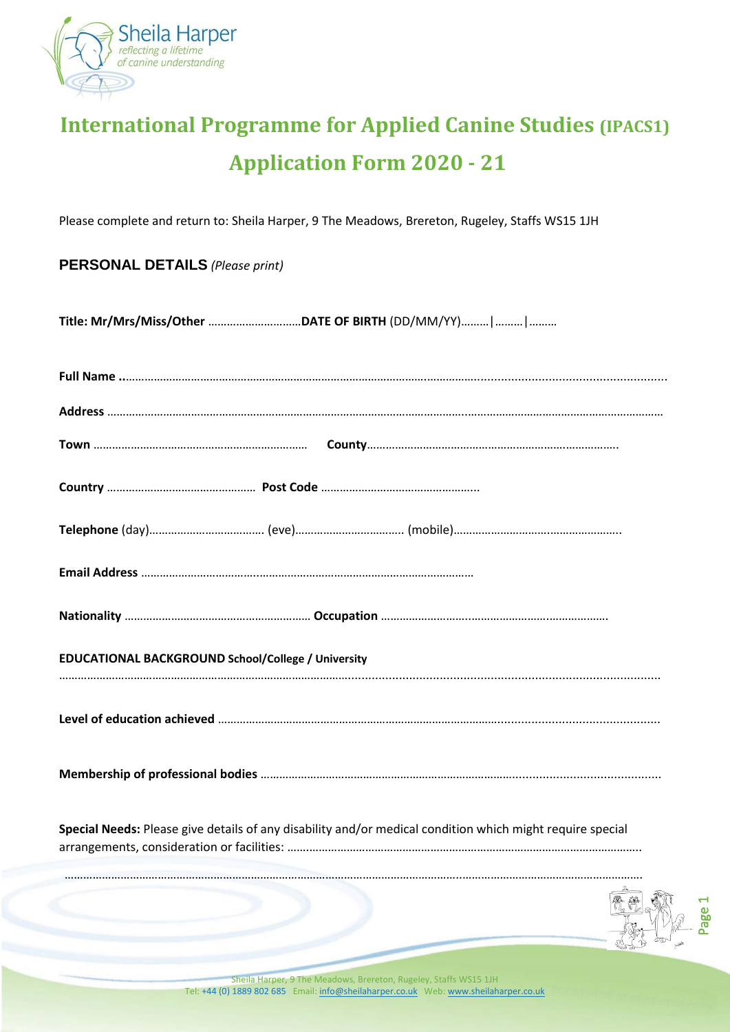

# **International Programme for Applied Canine Studies (IPACS1) Application Form 2020 - 21**

Please complete and return to: Sheila Harper, 9 The Meadows, Brereton, Rugeley, Staffs WS15 1JH

## **PERSONAL DETAILS** *(Please print)*

**Title: Mr/Mrs/Miss/Other** …………………………**DATE OF BIRTH** (DD/MM/YY)………|………|………

| <b>EDUCATIONAL BACKGROUND School/College / University</b>                                                 |  |
|-----------------------------------------------------------------------------------------------------------|--|
|                                                                                                           |  |
|                                                                                                           |  |
| Special Needs: Please give details of any disability and/or medical condition which might require special |  |
|                                                                                                           |  |
|                                                                                                           |  |
|                                                                                                           |  |

Sheila Harper, 9 The Meadows, Brereton, Rugeley, Staffs WS15 1JH Tel: +44 (0) 1889 802 685 Email[: info@sheilaharper.co.uk](mailto:info@sheilaharper.co.uk) Web[: www.sheilaharper.co.uk](http://www.sheilaharper.co.uk/)

Page  $\overline{a}$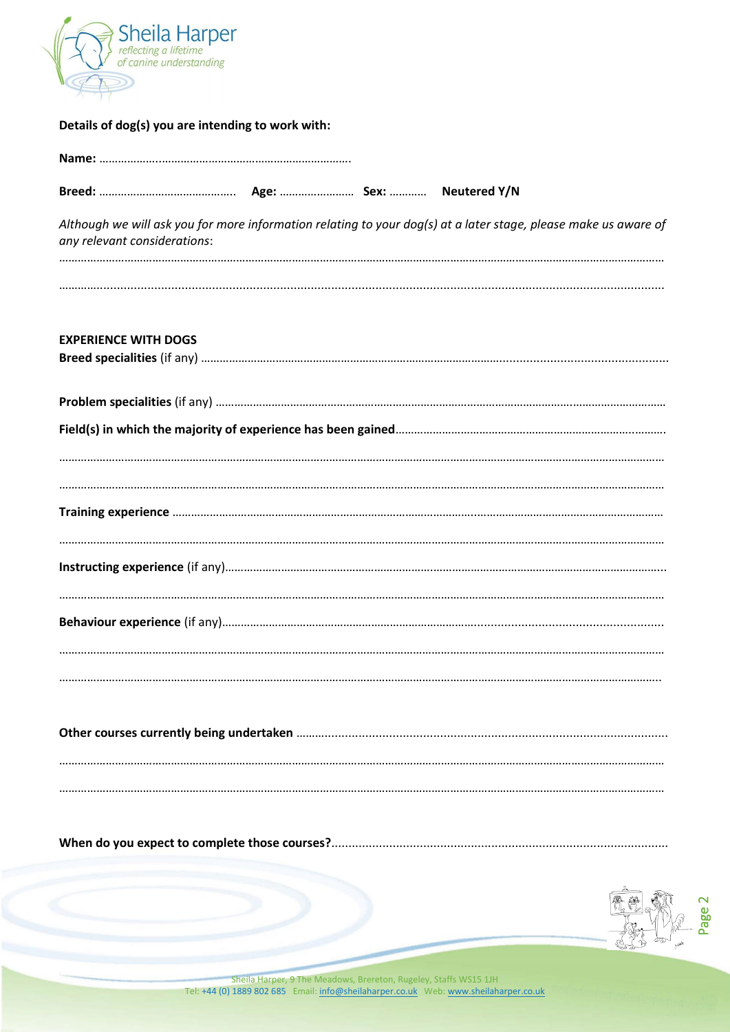

| Details of dog(s) you are intending to work with: |  |  |  |  |
|---------------------------------------------------|--|--|--|--|
|---------------------------------------------------|--|--|--|--|

| any relevant considerations: |  | Although we will ask you for more information relating to your dog(s) at a later stage, please make us aware of |
|------------------------------|--|-----------------------------------------------------------------------------------------------------------------|
|                              |  |                                                                                                                 |
| <b>EXPERIENCE WITH DOGS</b>  |  |                                                                                                                 |
|                              |  |                                                                                                                 |
|                              |  |                                                                                                                 |
|                              |  |                                                                                                                 |
|                              |  |                                                                                                                 |
|                              |  |                                                                                                                 |
|                              |  |                                                                                                                 |
|                              |  |                                                                                                                 |
|                              |  |                                                                                                                 |



Sheila Harper, 9 The Meadows, Brereton, Rugeley, Staffs WS15 1JH<br>Tel: +44 (0) 1889 802 685 Email: info@sheilaharper.co.uk Web: www.sheilaharper.co.uk